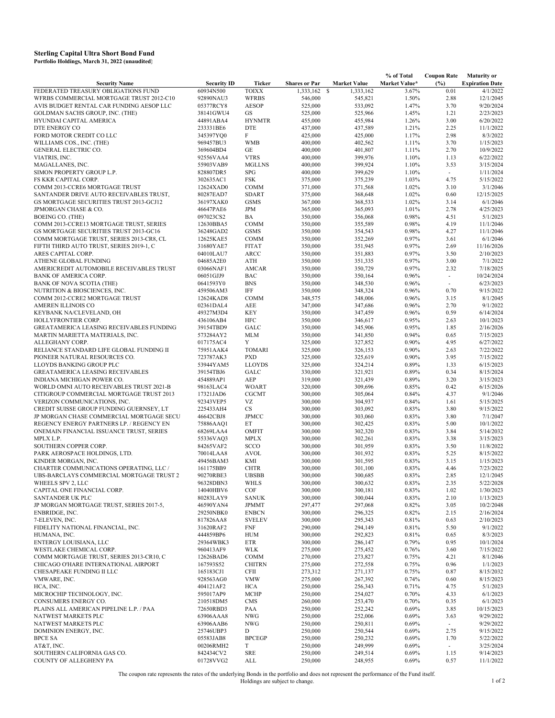## **Portfolio Holdings, March 31, 2022 (unaudited) Sterling Capital Ultra Short Bond Fund**

|                                          |                    |                             |                      |                            | % of Total    | <b>Coupon Rate</b>       | <b>Maturity or</b>     |
|------------------------------------------|--------------------|-----------------------------|----------------------|----------------------------|---------------|--------------------------|------------------------|
| <b>Security Name</b>                     | <b>Security ID</b> | Ticker                      | <b>Shares or Par</b> | <b>Market Value</b>        | Market Value* | (%)                      | <b>Expiration Date</b> |
| FEDERATED TREASURY OBLIGATIONS FUND      | 60934N500          | <b>TOIXX</b>                | 1.333.162            | <sup>\$</sup><br>1,333,162 | 3.67%         | 0.01                     | 4/1/2022               |
| WFRBS COMMERCIAL MORTGAGE TRUST 2012-C10 | 92890NAU3          | <b>WFRBS</b>                | 546,000              | 545,821                    | 1.50%         | 2.88                     | 12/1/2045              |
| AVIS BUDGET RENTAL CAR FUNDING AESOP LLC | 05377RCY8          | <b>AESOP</b>                | 525,000              | 533,092                    | 1.47%         | 3.70                     | 9/20/2024              |
|                                          |                    |                             |                      |                            |               |                          |                        |
| GOLDMAN SACHS GROUP, INC. (THE)          | 38141GWU4          | GS                          | 525,000              | 525,966                    | 1.45%         | 1.21                     | 2/23/2023              |
| HYUNDAI CAPITAL AMERICA                  | 44891ABA4          | <b>HYNMTR</b>               | 455,000              | 455,984                    | 1.26%         | 3.00                     | 6/20/2022              |
| DTE ENERGY CO                            | 233331BE6          | <b>DTE</b>                  | 437,000              | 437,589                    | 1.21%         | 2.25                     | 11/1/2022              |
| FORD MOTOR CREDIT CO LLC                 | 345397YQ0          | F                           | 425,000              | 425,000                    | 1.17%         | 2.98                     | 8/3/2022               |
| WILLIAMS COS., INC. (THE)                | 969457BU3          | <b>WMB</b>                  | 400,000              | 402,562                    | 1.11%         | 3.70                     | 1/15/2023              |
| GENERAL ELECTRIC CO.                     | 369604BD4          | GE                          | 400,000              | 401,807                    | 1.11%         | 2.70                     | 10/9/2022              |
| VIATRIS, INC.                            | 92556VAA4          | <b>VTRS</b>                 | 400,000              | 399,976                    | 1.10%         | 1.13                     | 6/22/2022              |
|                                          |                    |                             |                      |                            |               |                          |                        |
| MAGALLANES, INC.                         | 55903VAB9          | <b>MGLLNS</b>               | 400,000              | 399,924                    | 1.10%         | 3.53                     | 3/15/2024              |
| SIMON PROPERTY GROUP L.P.                | 828807DR5          | <b>SPG</b>                  | 400,000              | 399,629                    | 1.10%         | $\sim$                   | 1/11/2024              |
| FS KKR CAPITAL CORP.                     | 302635AC1          | <b>FSK</b>                  | 375,000              | 375,239                    | 1.03%         | 4.75                     | 5/15/2022              |
| COMM 2013-CCRE6 MORTGAGE TRUST           | 12624XAD0          | <b>COMM</b>                 | 371,000              | 371,568                    | 1.02%         | 3.10                     | 3/1/2046               |
| SANTANDER DRIVE AUTO RECEIVABLES TRUST,  | 80287EAD7          | <b>SDART</b>                | 375,000              | 368,648                    | 1.02%         | 0.60                     | 12/15/2025             |
| GS MORTGAGE SECURITIES TRUST 2013-GCJ12  | 36197XAK0          | <b>GSMS</b>                 | 367,000              | 368,533                    | 1.02%         | 3.14                     | 6/1/2046               |
|                                          |                    |                             |                      |                            |               |                          |                        |
| JPMORGAN CHASE & CO.                     | 46647PAE6          | <b>JPM</b>                  | 365,000              | 365,093                    | 1.01%         | 2.78                     | 4/25/2023              |
| <b>BOEING CO. (THE)</b>                  | 097023CS2          | BA                          | 350,000              | 356,068                    | 0.98%         | 4.51                     | 5/1/2023               |
| COMM 2013-CCRE13 MORTGAGE TRUST, SERIES  | 12630BBA5          | <b>COMM</b>                 | 350,000              | 355,589                    | 0.98%         | 4.19                     | 11/1/2046              |
| GS MORTGAGE SECURITIES TRUST 2013-GC16   | 36248GAD2          | <b>GSMS</b>                 | 350,000              | 354,543                    | 0.98%         | 4.27                     | 11/1/2046              |
| COMM MORTGAGE TRUST, SERIES 2013-CR8, CL | 12625KAE5          | <b>COMM</b>                 | 350,000              | 352,269                    | 0.97%         | 3.61                     | 6/1/2046               |
| FIFTH THIRD AUTO TRUST, SERIES 2019-1, C | 31680YAE7          | <b>FITAT</b>                | 350,000              | 351,945                    | 0.97%         | 2.69                     | 11/16/2026             |
|                                          |                    |                             |                      |                            |               |                          |                        |
| ARES CAPITAL CORP.                       | 04010LAU7          | ARCC                        | 350,000              | 351,883                    | 0.97%         | 3.50                     | 2/10/2023              |
| ATHENE GLOBAL FUNDING                    | 04685A2E0          | ATH                         | 350,000              | 351,335                    | 0.97%         | 3.00                     | 7/1/2022               |
| AMERICREDIT AUTOMOBILE RECEIVABLES TRUST | 03066NAF1          | <b>AMCAR</b>                | 350,000              | 350,729                    | 0.97%         | 2.32                     | 7/18/2025              |
| <b>BANK OF AMERICA CORP.</b>             | 06051GJJ9          | <b>BAC</b>                  | 350,000              | 350,164                    | 0.96%         | $\overline{\phantom{a}}$ | 10/24/2024             |
| BANK OF NOVA SCOTIA (THE)                | 0641593Y0          | <b>BNS</b>                  | 350,000              | 348,530                    | 0.96%         | $\sim$                   | 6/23/2023              |
| NUTRITION & BIOSCIENCES, INC.            | 459506AM3          | IFF                         | 350,000              | 348,324                    | 0.96%         | 0.70                     | 9/15/2022              |
|                                          |                    |                             |                      |                            |               |                          |                        |
| COMM 2012-CCRE2 MORTGAGE TRUST           | 12624KAD8          | <b>COMM</b>                 | 348,575              | 348,006                    | 0.96%         | 3.15                     | 8/1/2045               |
| AMEREN ILLINOIS CO                       | 02361DAL4          | AEE                         | 347,000              | 347,686                    | 0.96%         | 2.70                     | 9/1/2022               |
| KEYBANK NA/CLEVELAND, OH                 | 49327M3D4          | <b>KEY</b>                  | 350,000              | 347,459                    | 0.96%         | 0.59                     | 6/14/2024              |
| HOLLYFRONTIER CORP.                      | 436106AB4          | <b>HFC</b>                  | 350,000              | 346,617                    | 0.95%         | 2.63                     | 10/1/2023              |
| GREATAMERICA LEASING RECEIVABLES FUNDING | 39154TBD9          | GALC                        | 350,000              | 345,906                    | 0.95%         | 1.85                     | 2/16/2026              |
| MARTIN MARIETTA MATERIALS, INC.          | 573284AY2          | <b>MLM</b>                  | 350,000              | 341,850                    | 0.94%         | 0.65                     | 7/15/2023              |
|                                          |                    | Y                           |                      |                            |               | 4.95                     | 6/27/2022              |
| ALLEGHANY CORP.                          | 017175AC4          |                             | 325,000              | 327,852                    | 0.90%         |                          |                        |
| RELIANCE STANDARD LIFE GLOBAL FUNDING II | 75951AAK4          | <b>TOMARI</b>               | 325,000              | 326,153                    | 0.90%         | 2.63                     | 7/22/2022              |
| PIONEER NATURAL RESOURCES CO.            | 723787AK3          | <b>PXD</b>                  | 325,000              | 325,619                    | 0.90%         | 3.95                     | 7/15/2022              |
| LLOYDS BANKING GROUP PLC                 | 53944YAM5          | <b>LLOYDS</b>               | 325,000              | 324,214                    | 0.89%         | 1.33                     | 6/15/2023              |
| GREATAMERICA LEASING RECEIVABLES         | 39154TBJ6          | GALC                        | 330,000              | 321,921                    | 0.89%         | 0.34                     | 8/15/2024              |
| INDIANA MICHIGAN POWER CO.               | 454889AP1          | AEP                         | 319,000              | 321,439                    | 0.89%         | 3.20                     | 3/15/2023              |
|                                          |                    | <b>WOART</b>                |                      |                            |               | 0.42                     | 6/15/2026              |
| WORLD OMNI AUTO RECEIVABLES TRUST 2021-B | 98163LAC4          |                             | 320,000              | 309,696                    | 0.85%         |                          |                        |
| CITIGROUP COMMERCIAL MORTGAGE TRUST 2013 | 17321JAD6          | <b>CGCMT</b>                | 300,000              | 305,064                    | 0.84%         | 4.37                     | 9/1/2046               |
| VERIZON COMMUNICATIONS, INC.             | 92343VEP5          | VZ                          | 300,000              | 304,937                    | 0.84%         | 1.61                     | 5/15/2025              |
| CREDIT SUISSE GROUP FUNDING GUERNSEY, LT | 225433AH4          | <b>CS</b>                   | 300,000              | 303,092                    | 0.83%         | 3.80                     | 9/15/2022              |
| JP MORGAN CHASE COMMERCIAL MORTGAGE SECU | 46642CBJ8          | <b>JPMCC</b>                | 300,000              | 303,060                    | 0.83%         | 3.80                     | 7/1/2047               |
| REGENCY ENERGY PARTNERS LP. / REGENCY EN | 75886AAQ1          | ET                          | 300,000              | 302,425                    | 0.83%         | 5.00                     | 10/1/2022              |
|                                          | 68269LAA4          |                             |                      |                            |               |                          | 5/14/2032              |
| ONEMAIN FINANCIAL ISSUANCE TRUST, SERIES |                    | <b>OMFIT</b>                | 300,000              | 302,320                    | 0.83%         | 3.84                     |                        |
| MPLX L.P.                                | 55336VAQ3          | <b>MPLX</b>                 | 300,000              | 302,261                    | 0.83%         | 3.38                     | 3/15/2023              |
| SOUTHERN COPPER CORP.                    | 84265VAF2          | <b>SCCO</b>                 | 300,000              | 301,959                    | 0.83%         | 3.50                     | 11/8/2022              |
| PARK AEROSPACE HOLDINGS, LTD.            | 70014LAA8          | <b>AVOL</b>                 | 300,000              | 301,932                    | 0.83%         | 5.25                     | 8/15/2022              |
| KINDER MORGAN, INC.                      | 49456BAM3          | KMI                         | 300,000              | 301,595                    | 0.83%         | 3.15                     | 1/15/2023              |
| CHARTER COMMUNICATIONS OPERATING, LLC /  | 161175BB9          | <b>CHTR</b>                 | 300,000              | 301,100                    | 0.83%         | 4.46                     | 7/23/2022              |
| UBS-BARCLAYS COMMERCIAL MORTGAGE TRUST 2 | 90270RBE3          | <b>UBSBB</b>                | 300,000              | 300,685                    | 0.83%         | 2.85                     | 12/1/2045              |
|                                          |                    |                             |                      |                            |               |                          |                        |
| WHEELS SPV 2, LLC                        | 96328DBN3          | WHLS                        | 300,000              | 300,632                    | 0.83%         | 2.35                     | 5/22/2028              |
| CAPITAL ONE FINANCIAL CORP.              | 14040HBV6          | $\mathop{\rm COF}\nolimits$ | 300,000              | 300,181                    | 0.83%         | 1.02                     | 1/30/2023              |
| SANTANDER UK PLC                         | 80283LAY9          | <b>SANUK</b>                | 300,000              | 300,044                    | 0.83%         | 2.10                     | 1/13/2023              |
| JP MORGAN MORTGAGE TRUST, SERIES 2017-5, | 46590YAN4          | <b>JPMMT</b>                | 297,477              | 297,068                    | 0.82%         | 3.05                     | 10/2/2048              |
| ENBRIDGE, INC.                           | 29250NBK0          | <b>ENBCN</b>                | 300,000              | 296,325                    | 0.82%         | 2.15                     | 2/16/2024              |
| 7-ELEVEN, INC.                           | 817826AA8          | <b>SVELEV</b>               | 300,000              | 295,343                    | 0.81%         | 0.63                     | 2/10/2023              |
|                                          |                    |                             |                      | 294,149                    |               |                          |                        |
| FIDELITY NATIONAL FINANCIAL, INC.        | 31620RAF2          | <b>FNF</b>                  | 290,000              |                            | 0.81%         | 5.50                     | 9/1/2022               |
| HUMANA, INC.                             | 444859BP6          | <b>HUM</b>                  | 300,000              | 292,823                    | 0.81%         | 0.65                     | 8/3/2023               |
| ENTERGY LOUISIANA, LLC                   | 29364WBK3          | ETR                         | 300,000              | 286,147                    | 0.79%         | 0.95                     | 10/1/2024              |
| WESTLAKE CHEMICAL CORP.                  | 960413AF9          | <b>WLK</b>                  | 275,000              | 275,452                    | 0.76%         | 3.60                     | 7/15/2022              |
| COMM MORTGAGE TRUST, SERIES 2013-CR10, C | 12626BAD6          | <b>COMM</b>                 | 270,000              | 273,827                    | 0.75%         | 4.21                     | 8/1/2046               |
| CHICAGO O'HARE INTERNATIONAL AIRPORT     | 167593S52          | <b>CHITRN</b>               | 275,000              | 272,558                    | 0.75%         | 0.96                     | 1/1/2023               |
| CHESAPEAKE FUNDING II LLC                | 165183CJ1          | CFII                        | 273,312              | 271,137                    | 0.75%         | 0.87                     | 8/15/2032              |
|                                          |                    |                             |                      |                            |               |                          |                        |
| VMWARE, INC.                             | 928563AG0          | <b>VMW</b>                  | 275,000              | 267,392                    | 0.74%         | 0.60                     | 8/15/2023              |
| HCA, INC.                                | 404121AF2          | HCA                         | 250,000              | 256,343                    | 0.71%         | 4.75                     | 5/1/2023               |
| MICROCHIP TECHNOLOGY, INC.               | 595017AP9          | <b>MCHP</b>                 | 250,000              | 254,027                    | 0.70%         | 4.33                     | 6/1/2023               |
| CONSUMERS ENERGY CO.                     | 210518DM5          | <b>CMS</b>                  | 260,000              | 253,470                    | 0.70%         | 0.35                     | 6/1/2023               |
| PLAINS ALL AMERICAN PIPELINE L.P. / PAA  | 72650RBD3          | PAA                         | 250,000              | 252,242                    | 0.69%         | 3.85                     | 10/15/2023             |
|                                          |                    |                             |                      |                            |               |                          |                        |
| NATWEST MARKETS PLC                      | 63906AAA8          | <b>NWG</b>                  | 250,000              | 252,006                    | 0.69%         | 3.63                     | 9/29/2022              |
| NATWEST MARKETS PLC                      | 63906AAB6          | <b>NWG</b>                  | 250,000              | 250,811                    | 0.69%         | ÷                        | 9/29/2022              |
| DOMINION ENERGY, INC.                    | 25746UBP3          | D                           | 250,000              | 250,544                    | 0.69%         | 2.75                     | 9/15/2022              |
| <b>BPCE SA</b>                           | 05583JAB8          | <b>BPCEGP</b>               | 250,000              | 250,232                    | 0.69%         | 1.70                     | 5/22/2022              |
| AT&T, INC.                               | 00206RMH2          | T                           | 250,000              | 249,999                    | 0.69%         | $\sim$                   | 3/25/2024              |
| SOUTHERN CALIFORNIA GAS CO.              | 842434CV2          | <b>SRE</b>                  | 250,000              | 249,514                    | 0.69%         | 1.15                     | 9/14/2023              |
| COUNTY OF ALLEGHENY PA                   |                    |                             |                      |                            |               |                          |                        |
|                                          | 01728VVG2          | ALL                         | 250,000              | 248,955                    | 0.69%         | 0.57                     | 11/1/2022              |

The coupon rate represents the rates of the underlying Bonds in the portfolio and does not represent the performance of the Fund itself.<br>1 of 2 1